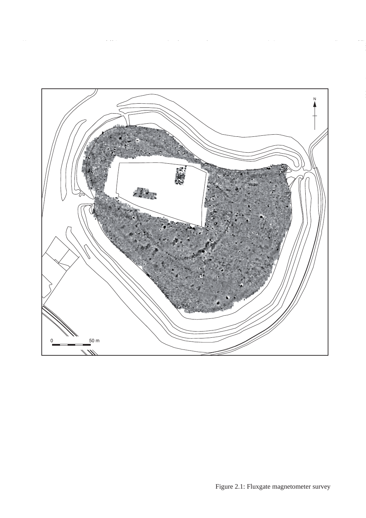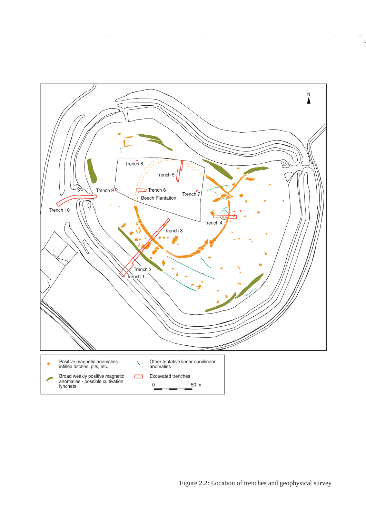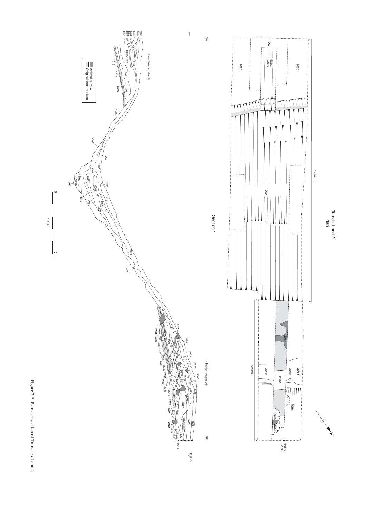

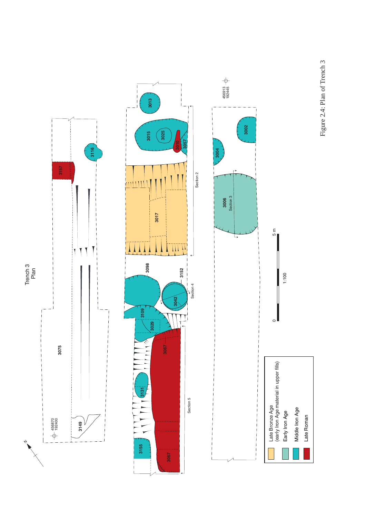Figure 2.4: Plan of Trench 3 Figure 2.4: Plan of Trench 3

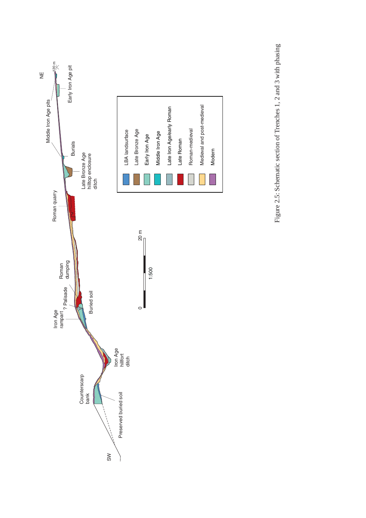

Figure 2.5: Schematic section of Trenches 1, 2 and 3 with phasing Figure 2.5: Schematic section of Trenches 1, 2 and 3 with phasing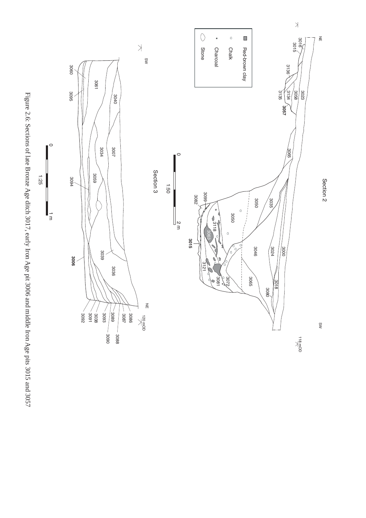

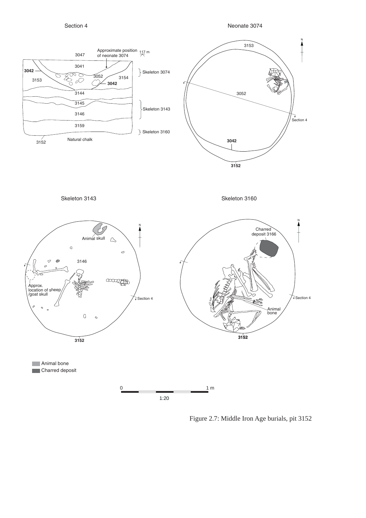Section 4



Figure 2.7: Middle Iron Age burials, pit 3152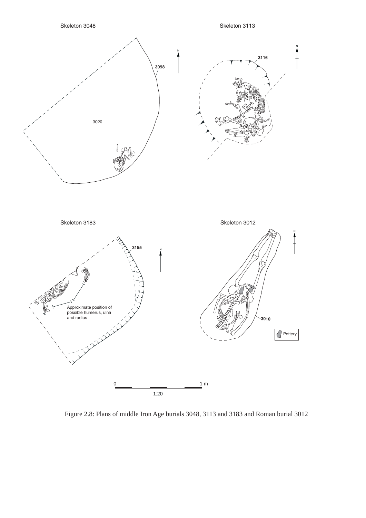

Figure 2.8: Plans of middle Iron Age burials 3048, 3113 and 3183 and Roman burial 3012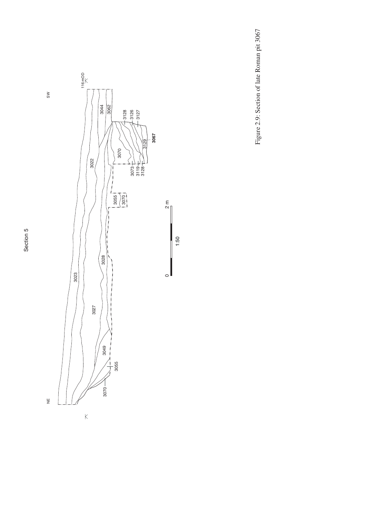Section 5 Section 5





 $\frac{1}{2}$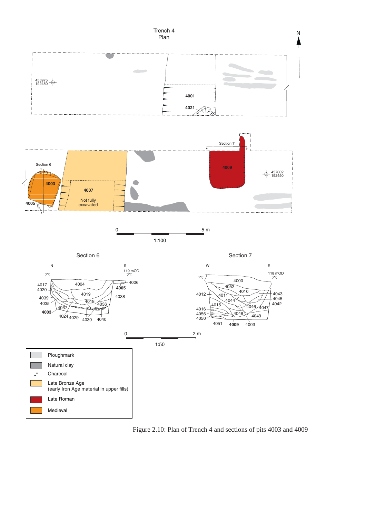

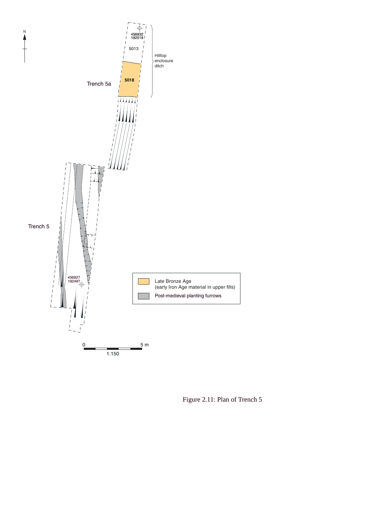

Figure 2.11: Plan of Trench 5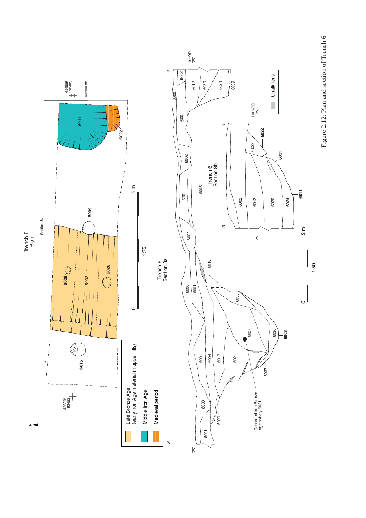

Figure 2.12: Plan and section of Trench 6 Figure 2.12: Plan and section of Trench 6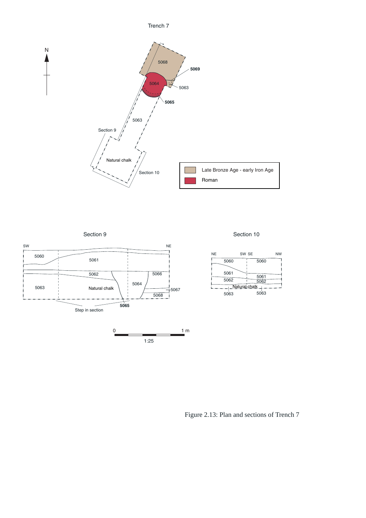



Section 10







Figure 2.13: Plan and sections of Trench 7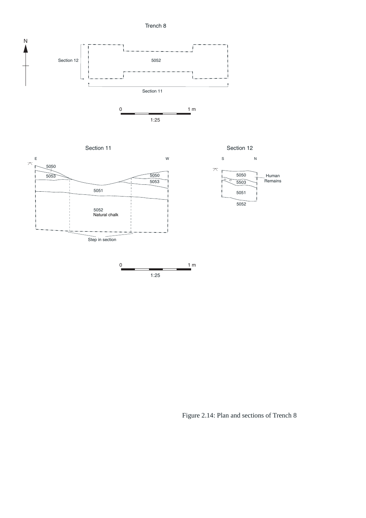Trench 8





Figure 2.14: Plan and sections of Trench 8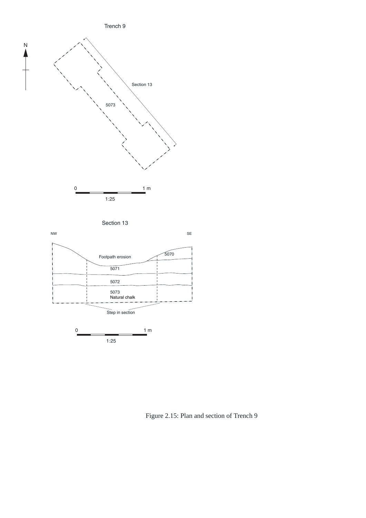



Figure 2.15: Plan and section of Trench 9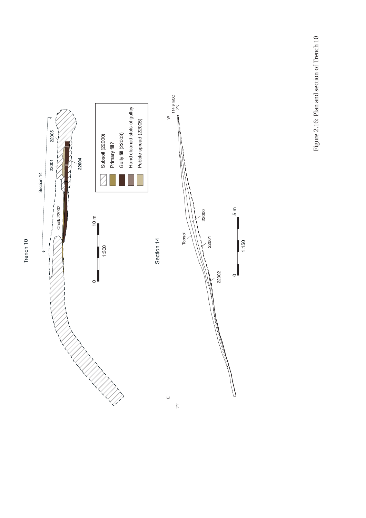Figure 2.16: Plan and section of Trench 10 Figure 2.16: Plan and section of Trench 10



Trench 10 Trench 10